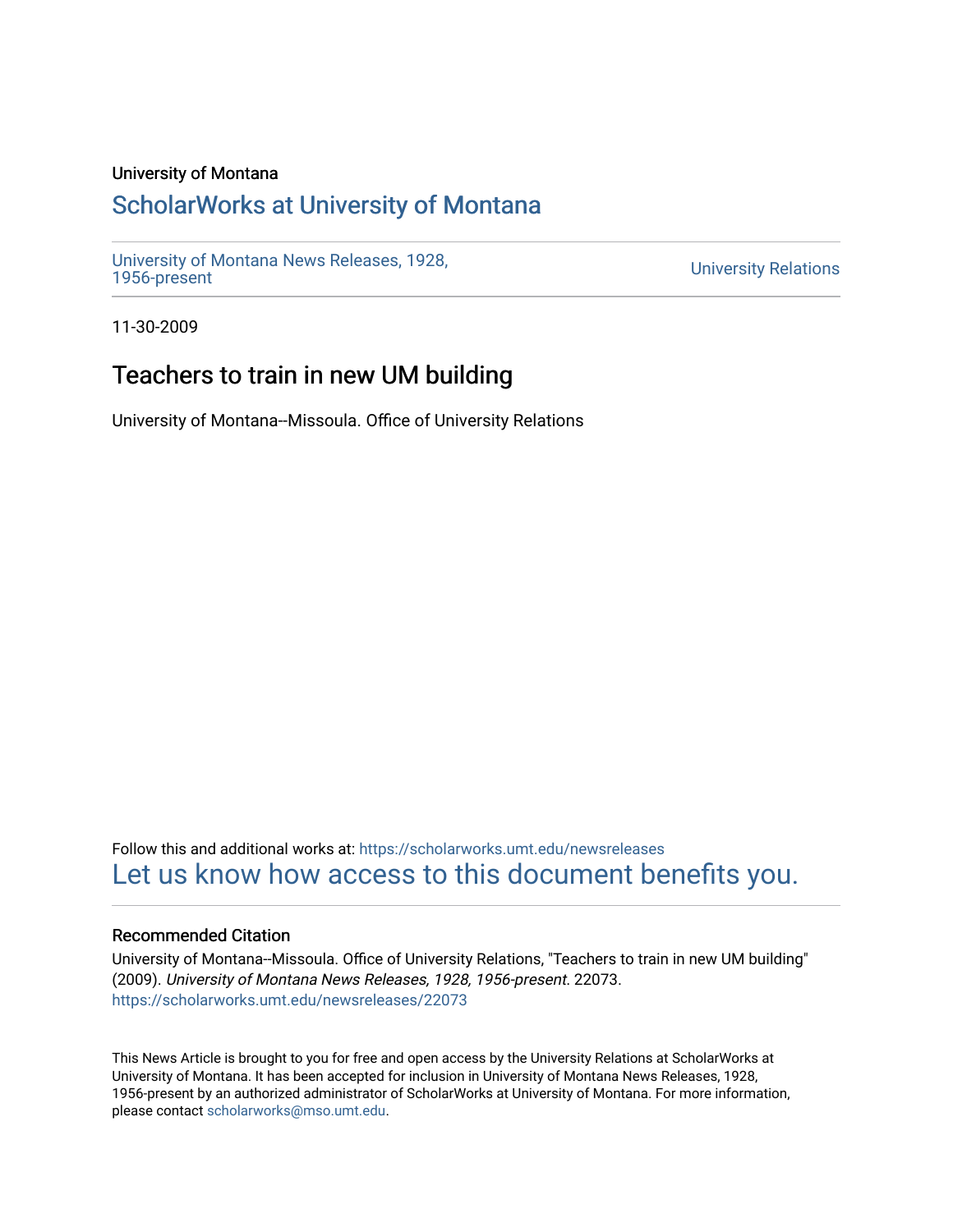### University of Montana

# [ScholarWorks at University of Montana](https://scholarworks.umt.edu/)

[University of Montana News Releases, 1928,](https://scholarworks.umt.edu/newsreleases) 

**University Relations** 

11-30-2009

## Teachers to train in new UM building

University of Montana--Missoula. Office of University Relations

Follow this and additional works at: [https://scholarworks.umt.edu/newsreleases](https://scholarworks.umt.edu/newsreleases?utm_source=scholarworks.umt.edu%2Fnewsreleases%2F22073&utm_medium=PDF&utm_campaign=PDFCoverPages) [Let us know how access to this document benefits you.](https://goo.gl/forms/s2rGfXOLzz71qgsB2) 

#### Recommended Citation

University of Montana--Missoula. Office of University Relations, "Teachers to train in new UM building" (2009). University of Montana News Releases, 1928, 1956-present. 22073. [https://scholarworks.umt.edu/newsreleases/22073](https://scholarworks.umt.edu/newsreleases/22073?utm_source=scholarworks.umt.edu%2Fnewsreleases%2F22073&utm_medium=PDF&utm_campaign=PDFCoverPages) 

This News Article is brought to you for free and open access by the University Relations at ScholarWorks at University of Montana. It has been accepted for inclusion in University of Montana News Releases, 1928, 1956-present by an authorized administrator of ScholarWorks at University of Montana. For more information, please contact [scholarworks@mso.umt.edu.](mailto:scholarworks@mso.umt.edu)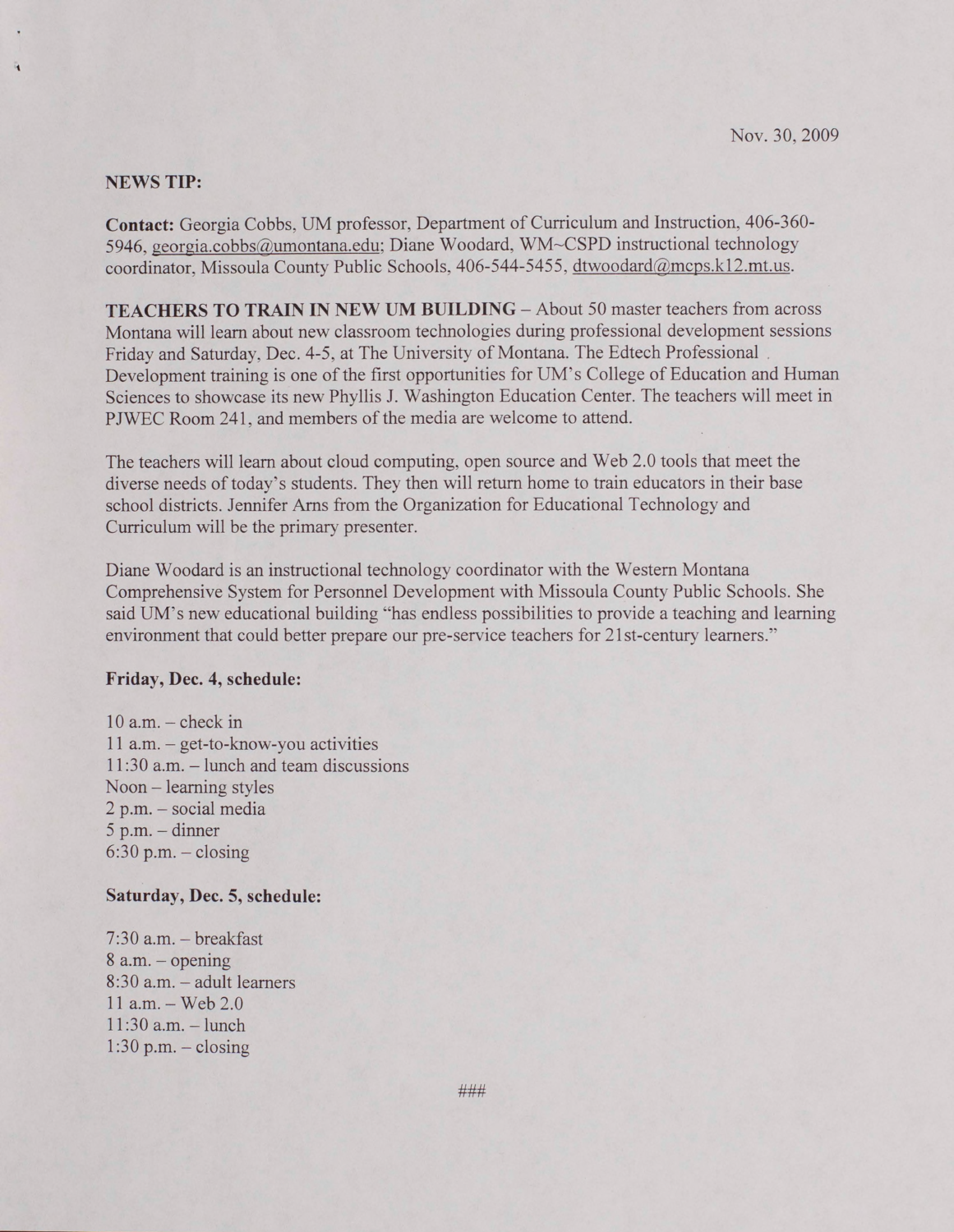#### **NEWS TIP:**

**Contact:** Georgia Cobbs, UM professor, Department of Curriculum and Instruction, 406-360- 5946, [georgia.cobbs@umontana.edu](mailto:georgia.cobbs@umontana.edu): Diane Woodard, WM-CSPD instructional technology coordinator, Missoula County Public Schools, 406-544-5455, dtwoodard@mcps.k12.mt.us.

**TEACHERS TO TRAIN IN NEW UM BUILDING - About 50 master teachers from across** Montana will learn about new classroom technologies during professional development sessions Friday and Saturday, Dec. 4-5, at The University of Montana. The Edtech Professional Development training is one of the first opportunities for UM's College of Education and Human Sciences to showcase its new Phyllis J. Washington Education Center. The teachers will meet in PJWEC Room 241, and members of the media are welcome to attend.

The teachers will learn about cloud computing, open source and Web 2.0 tools that meet the diverse needs of today's students. They then will return home to train educators in their base school districts. Jennifer Ams from the Organization for Educational Technology and Curriculum will be the primary presenter.

Diane Woodard is an instructional technology coordinator with the Western Montana Comprehensive System for Personnel Development with Missoula County Public Schools. She said UM's new educational building "has endless possibilities to provide a teaching and learning environment that could better prepare our pre-service teachers for 21 st-century learners.''

#### **Friday, Dec. 4, schedule:**

 $10$  a.m.  $-$  check in 11 a.m. - get-to-know-you activities 11:30 a.m. - lunch and team discussions Noon - learning styles 2 p.m. - social media  $5$  p.m.  $-$  dinner  $6:30$  p.m.  $-$  closing

#### **Saturday, Dec. 5, schedule:**

 $7:30$  a.m.  $-$  breakfast  $8$  a.m.  $-$  opening 8:30 a.m. - adult learners  $11$  a.m.  $-$  Web 2.0  $11:30$  a.m.  $-$  lunch  $1:30$  p.m.  $-$  closing